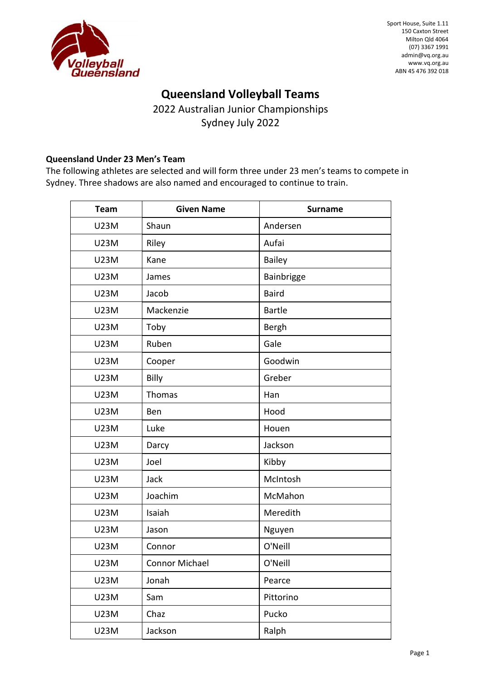

# **Queensland Volleyball Teams**

2022 Australian Junior Championships Sydney July 2022

#### **Queensland Under 23 Men's Team**

The following athletes are selected and will form three under 23 men's teams to compete in Sydney. Three shadows are also named and encouraged to continue to train.

| <b>Team</b> | <b>Given Name</b> | <b>Surname</b> |
|-------------|-------------------|----------------|
| <b>U23M</b> | Shaun             | Andersen       |
| <b>U23M</b> | Riley             | Aufai          |
| <b>U23M</b> | Kane              | Bailey         |
| <b>U23M</b> | James             | Bainbrigge     |
| <b>U23M</b> | Jacob             | <b>Baird</b>   |
| <b>U23M</b> | Mackenzie         | <b>Bartle</b>  |
| <b>U23M</b> | Toby              | <b>Bergh</b>   |
| <b>U23M</b> | Ruben             | Gale           |
| <b>U23M</b> | Cooper            | Goodwin        |
| <b>U23M</b> | Billy             | Greber         |
| <b>U23M</b> | Thomas            | Han            |
| <b>U23M</b> | Ben               | Hood           |
| <b>U23M</b> | Luke              | Houen          |
| <b>U23M</b> | Darcy             | Jackson        |
| <b>U23M</b> | Joel              | Kibby          |
| <b>U23M</b> | Jack              | McIntosh       |
| <b>U23M</b> | Joachim           | McMahon        |
| <b>U23M</b> | Isaiah            | Meredith       |
| <b>U23M</b> | Jason             | Nguyen         |
| <b>U23M</b> | Connor            | O'Neill        |
| U23M        | Connor Michael    | O'Neill        |
| <b>U23M</b> | Jonah             | Pearce         |
| <b>U23M</b> | Sam               | Pittorino      |
| <b>U23M</b> | Chaz              | Pucko          |
| <b>U23M</b> | Jackson           | Ralph          |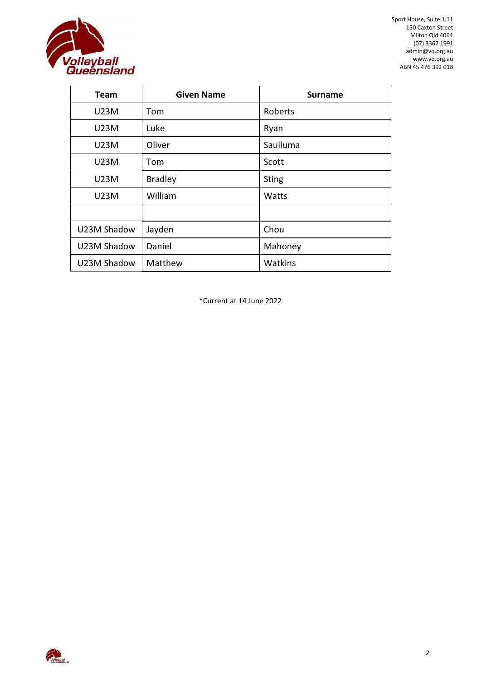

Sport House, Suite 1.11 150 Caxton Street Milton Qld 4064 (07) 3367 1991 admin@vq.org.au [www.vq.org.au](file://///server/gary/Governance/BOM/2020/%232%20February%202020/www.vq.org.au) ABN 45 476 392 018

| Team        | <b>Given Name</b> | <b>Surname</b> |
|-------------|-------------------|----------------|
| U23M        | Tom               | Roberts        |
| U23M        | Luke              | Ryan           |
| U23M        | Oliver            | Sauiluma       |
| U23M        | Tom               | Scott          |
| U23M        | <b>Bradley</b>    | <b>Sting</b>   |
| U23M        | William           | Watts          |
|             |                   |                |
| U23M Shadow | Jayden            | Chou           |
| U23M Shadow | Daniel            | Mahoney        |
| U23M Shadow | Matthew           | Watkins        |

\*Current at 14 June 2022

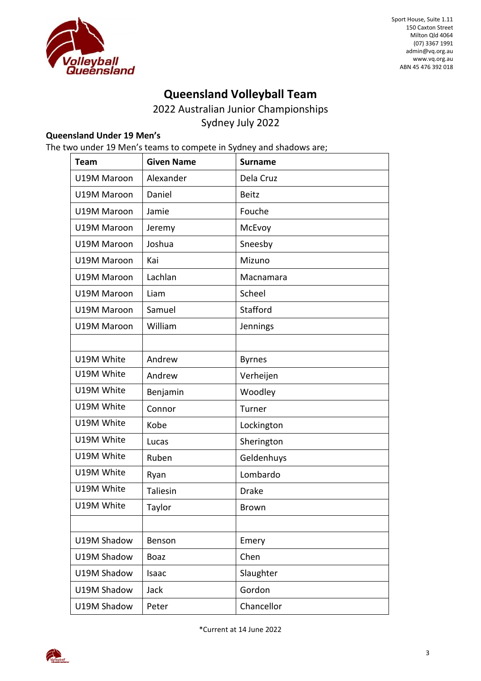

Sport House, Suite 1.11 150 Caxton Street Milton Qld 4064 (07) 3367 1991 admin@vq.org.au [www.vq.org.au](file://///server/gary/Governance/BOM/2020/%232%20February%202020/www.vq.org.au) ABN 45 476 392 018

# **Queensland Volleyball Team**

2022 Australian Junior Championships Sydney July 2022

#### **Queensland Under 19 Men's**

The two under 19 Men's teams to compete in Sydney and shadows are;

| <b>Team</b> | <b>Given Name</b> | <b>Surname</b> |
|-------------|-------------------|----------------|
| U19M Maroon | Alexander         | Dela Cruz      |
| U19M Maroon | Daniel            | <b>Beitz</b>   |
| U19M Maroon | Jamie             | Fouche         |
| U19M Maroon | Jeremy            | McEvoy         |
| U19M Maroon | Joshua            | Sneesby        |
| U19M Maroon | Kai               | Mizuno         |
| U19M Maroon | Lachlan           | Macnamara      |
| U19M Maroon | Liam              | Scheel         |
| U19M Maroon | Samuel            | Stafford       |
| U19M Maroon | William           | Jennings       |
|             |                   |                |
| U19M White  | Andrew            | <b>Byrnes</b>  |
| U19M White  | Andrew            | Verheijen      |
| U19M White  | Benjamin          | Woodley        |
| U19M White  | Connor            | Turner         |
| U19M White  | Kobe              | Lockington     |
| U19M White  | Lucas             | Sherington     |
| U19M White  | Ruben             | Geldenhuys     |
| U19M White  | Ryan              | Lombardo       |
| U19M White  | Taliesin          | <b>Drake</b>   |
| U19M White  | Taylor            | <b>Brown</b>   |
|             |                   |                |
| U19M Shadow | Benson            | Emery          |
| U19M Shadow | <b>Boaz</b>       | Chen           |
| U19M Shadow | Isaac             | Slaughter      |
| U19M Shadow | Jack              | Gordon         |
| U19M Shadow | Peter             | Chancellor     |

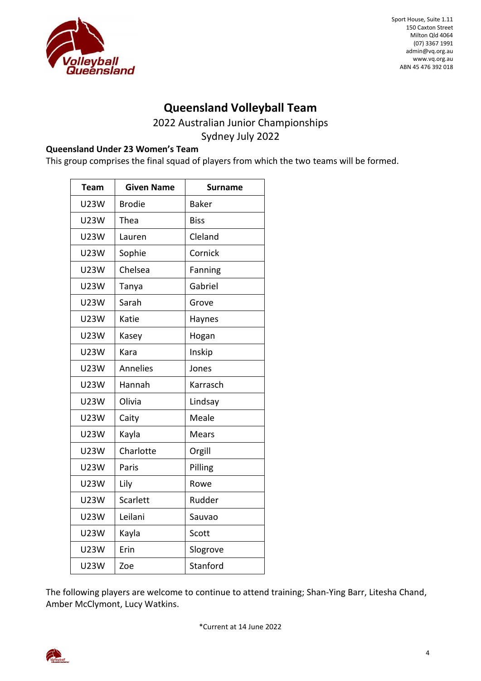

### **Queensland Volleyball Team**

2022 Australian Junior Championships

Sydney July 2022

#### **Queensland Under 23 Women's Team**

This group comprises the final squad of players from which the two teams will be formed.

| <b>Team</b> | <b>Given Name</b> | <b>Surname</b> |
|-------------|-------------------|----------------|
| <b>U23W</b> | <b>Brodie</b>     | <b>Baker</b>   |
| <b>U23W</b> | Thea              | <b>Biss</b>    |
| <b>U23W</b> | Lauren            | Cleland        |
| U23W        | Sophie            | Cornick        |
| <b>U23W</b> | Chelsea           | Fanning        |
| <b>U23W</b> | Tanya             | Gabriel        |
| <b>U23W</b> | Sarah             | Grove          |
| <b>U23W</b> | Katie             | Haynes         |
| <b>U23W</b> | Kasey             | Hogan          |
| <b>U23W</b> | Kara              | Inskip         |
| <b>U23W</b> | Annelies          | Jones          |
| <b>U23W</b> | Hannah            | Karrasch       |
| <b>U23W</b> | Olivia            | Lindsay        |
| <b>U23W</b> | Caity             | Meale          |
| <b>U23W</b> | Kayla             | Mears          |
| <b>U23W</b> | Charlotte         | Orgill         |
| <b>U23W</b> | Paris             | Pilling        |
| <b>U23W</b> | Lily              | Rowe           |
| <b>U23W</b> | Scarlett          | Rudder         |
| <b>U23W</b> | Leilani           | Sauvao         |
| <b>U23W</b> | Kayla             | Scott          |
| <b>U23W</b> | Erin              | Slogrove       |
| <b>U23W</b> | Zoe               | Stanford       |

The following players are welcome to continue to attend training; Shan-Ying Barr, Litesha Chand, Amber McClymont, Lucy Watkins.